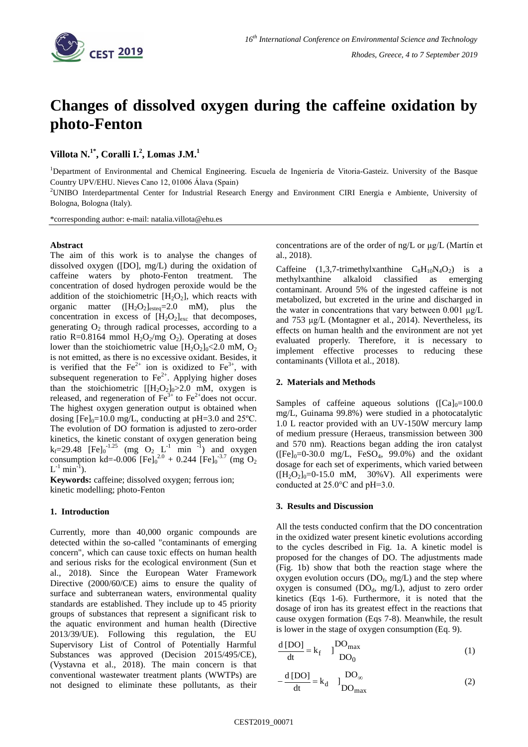

# **Changes of dissolved oxygen during the caffeine oxidation by photo-Fenton**

**Villota N.1\* , Coralli I.<sup>2</sup> , Lomas J.M.<sup>1</sup>**

<sup>1</sup>Department of Environmental and Chemical Engineering. Escuela de Ingeniería de Vitoria-Gasteiz. University of the Basque Country UPV/EHU. Nieves Cano 12, 01006 Álava (Spain)

<sup>2</sup>UNIBO Interdepartmental Center for Industrial Research Energy and Environment CIRI Energia e Ambiente, University of Bologna, Bologna (Italy).

\*corresponding author: e-mail: natalia.villota@ehu.es

## **Abstract**

The aim of this work is to analyse the changes of dissolved oxygen ([DO], mg/L) during the oxidation of caffeine waters by photo-Fenton treatment. The concentration of dosed hydrogen peroxide would be the addition of the stoichiometric  $[H_2O_2]$ , which reacts with organic matter  $([H_2O_2]_{\text{est eq}}=2.0 \text{ mM})$ , plus the concentration in excess of  $[H_2O_2]_{\text{exc}}$  that decomposes, generating  $O_2$  through radical processes, according to a ratio R=0.8164 mmol  $H_2O_2/mg O_2$ ). Operating at doses lower than the stoichiometric value  $[H_2O_2]_0<2.0$  mM,  $O_2$ is not emitted, as there is no excessive oxidant. Besides, it is verified that the  $Fe^{2+}$  ion is oxidized to  $Fe^{3+}$ , with subsequent regeneration to  $Fe^{2+}$ . Applying higher doses than the stoichiometric  $[[H_2O_2]_0>2.0$  mM, oxygen is released, and regeneration of  $\text{Fe}^{3+}$  to  $\text{Fe}^{2+}$ does not occur. The highest oxygen generation output is obtained when dosing  $[Fe]_0=10.0$  mg/L, conducting at pH=3.0 and 25°C. The evolution of DO formation is adjusted to zero-order kinetics, the kinetic constant of oxygen generation being  $k_f = 29.48$  [Fe]<sub>0</sub><sup>-1.25</sup> (mg O<sub>2</sub> L<sup>-1</sup> min<sup>-1</sup>) and oxygen consumption kd=-0.006  $[Fe]<sub>0</sub><sup>2.0</sup> + 0.244 [Fe]<sub>0</sub><sup>-3.7</sup> (mg O<sub>2</sub>)$  $L^{-1}$  min<sup>-1</sup>).

**Keywords:** caffeine; dissolved oxygen; ferrous ion; kinetic modelling; photo-Fenton

### **1. Introduction**

Currently, more than 40,000 organic compounds are detected within the so-called "contaminants of emerging concern", which can cause toxic effects on human health and serious risks for the ecological environment (Sun et al., 2018). Since the European Water Framework Directive (2000/60/CE) aims to ensure the quality of surface and subterranean waters, environmental quality standards are established. They include up to 45 priority groups of substances that represent a significant risk to the aquatic environment and human health (Directive 2013/39/UE). Following this regulation, the EU Supervisory List of Control of Potentially Harmful Substances was approved (Decision 2015/495/CE), (Vystavna et al., 2018). The main concern is that conventional wastewater treatment plants (WWTPs) are not designed to eliminate these pollutants, as their concentrations are of the order of ng/L or μg/L (Martín et al., 2018).

Caffeine  $(1,3,7-$ trimethylxanthine  $C_8H_{10}N_4O_2$  is a [methylxanthine](https://pubchem.ncbi.nlm.nih.gov/compound/methylxanthine) alkaloid classified as emerging contaminant. Around 5% of the ingested caffeine is not metabolized, but excreted in the urine and discharged in the water in concentrations that vary between 0.001 μg/L and 753 μg/L (Montagner et al., 2014). Nevertheless, its effects on human health and the environment are not yet evaluated properly. Therefore, it is necessary to implement effective processes to reducing these contaminants (Villota et al., 2018).

### **2. Materials and Methods**

Samples of caffeine aqueous solutions ( $\text{[Ca]}_{0}=100.0$ ) mg/L, Guinama 99.8%) were studied in a photocatalytic 1.0 L reactor provided with an UV-150W mercury lamp of medium pressure (Heraeus, transmission between 300 and 570 nm). Reactions began adding the iron catalyst  $([Fe]_0=0-30.0 \text{ mg/L}, FeSO_4, 99.0\%)$  and the oxidant dosage for each set of experiments, which varied between  $([H<sub>2</sub>O<sub>2</sub>]<sub>0</sub>=0-15.0$  mM, 30%V). All experiments were conducted at 25.0°C and pH=3.0.

### **3. Results and Discussion**

All the tests conducted confirm that the DO concentration in the oxidized water present kinetic evolutions according to the cycles described in Fig. 1a. A kinetic model is proposed for the changes of DO. The adjustments made (Fig. 1b) show that both the reaction stage where the oxygen evolution occurs  $(DO_f, mg/L)$  and the step where oxygen is consumed  $(DO_d, mg/L)$ , adjust to zero order kinetics (Eqs 1-6). Furthermore, it is noted that the dosage of iron has its greatest effect in the reactions that cause oxygen formation (Eqs 7-8). Meanwhile, the result is lower in the stage of oxygen consumption (Eq. 9).

$$
\frac{d [DO]}{dt} = k_f \quad J \frac{DO_{max}}{DO_0}
$$
 (1)

$$
-\frac{d [DO]}{dt} = k_d \quad J_{DO_{max}}^{DO_{\infty}}
$$
 (2)